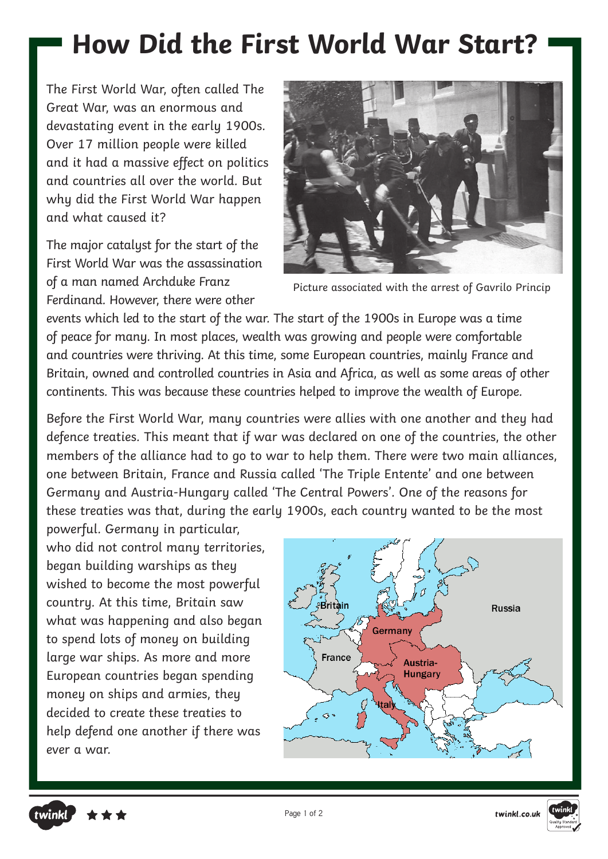## **How Did the First World War Start?**

The First World War, often called The Great War, was an enormous and devastating event in the early 1900s. Over 17 million people were killed and it had a massive effect on politics and countries all over the world. But why did the First World War happen and what caused it?

The major catalyst for the start of the First World War was the assassination of a man named Archduke Franz Ferdinand. However, there were other



Picture associated with the arrest of Gavrilo Princip

events which led to the start of the war. The start of the 1900s in Europe was a time of peace for many. In most places, wealth was growing and people were comfortable and countries were thriving. At this time, some European countries, mainly France and Britain, owned and controlled countries in Asia and Africa, as well as some areas of other continents. This was because these countries helped to improve the wealth of Europe.

Before the First World War, many countries were allies with one another and they had defence treaties. This meant that if war was declared on one of the countries, the other members of the alliance had to go to war to help them. There were two main alliances, one between Britain, France and Russia called 'The Triple Entente' and one between Germany and Austria-Hungary called 'The Central Powers'. One of the reasons for these treaties was that, during the early 1900s, each country wanted to be the most

powerful. Germany in particular, who did not control many territories, began building warships as they wished to become the most powerful country. At this time, Britain saw what was happening and also began to spend lots of money on building large war ships. As more and more European countries began spending money on ships and armies, they decided to create these treaties to help defend one another if there was ever a war.

twinkl



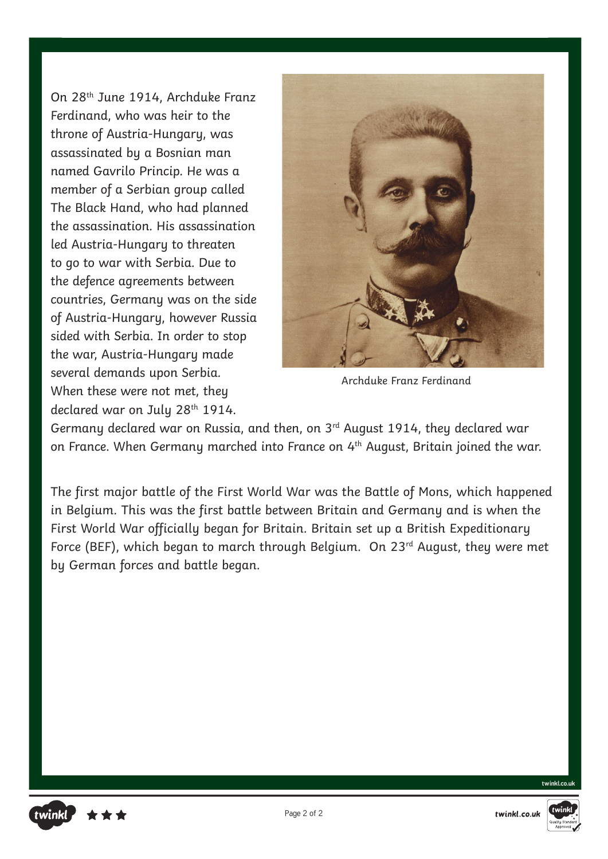On 28th June 1914, Archduke Franz Ferdinand, who was heir to the throne of Austria-Hungary, was assassinated by a Bosnian man named Gavrilo Princip. He was a member of a Serbian group called The Black Hand, who had planned the assassination. His assassination led Austria-Hungary to threaten to go to war with Serbia. Due to the defence agreements between countries, Germany was on the side of Austria-Hungary, however Russia sided with Serbia. In order to stop the war, Austria-Hungary made several demands upon Serbia. When these were not met, they declared war on July 28<sup>th</sup> 1914.



Archduke Franz Ferdinand

Germany declared war on Russia, and then, on 3rd August 1914, they declared war on France. When Germany marched into France on 4<sup>th</sup> August, Britain joined the war.

The first major battle of the First World War was the Battle of Mons, which happened in Belgium. This was the first battle between Britain and Germany and is when the First World War officially began for Britain. Britain set up a British Expeditionary Force (BEF), which began to march through Belgium. On 23<sup>rd</sup> August, they were met by German forces and battle began.





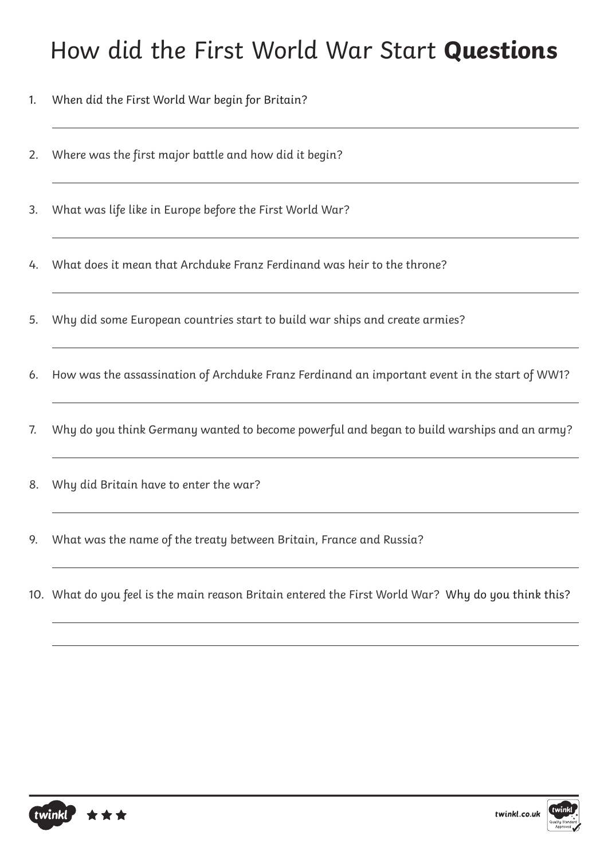### How did the First World War Start **Questions**

- 1. When did the First World War begin for Britain?
- 2. Where was the first major battle and how did it begin?
- 3. What was life like in Europe before the First World War?
- 4. What does it mean that Archduke Franz Ferdinand was heir to the throne?
- 5. Why did some European countries start to build war ships and create armies?
- 6. How was the assassination of Archduke Franz Ferdinand an important event in the start of WW1?
- 7. Why do you think Germany wanted to become powerful and began to build warships and an army?
- 8. Why did Britain have to enter the war?
- 9. What was the name of the treaty between Britain, France and Russia?
- 10. What do you feel is the main reason Britain entered the First World War? Why do you think this?



 $\overline{a}$ 

 $\overline{a}$ 

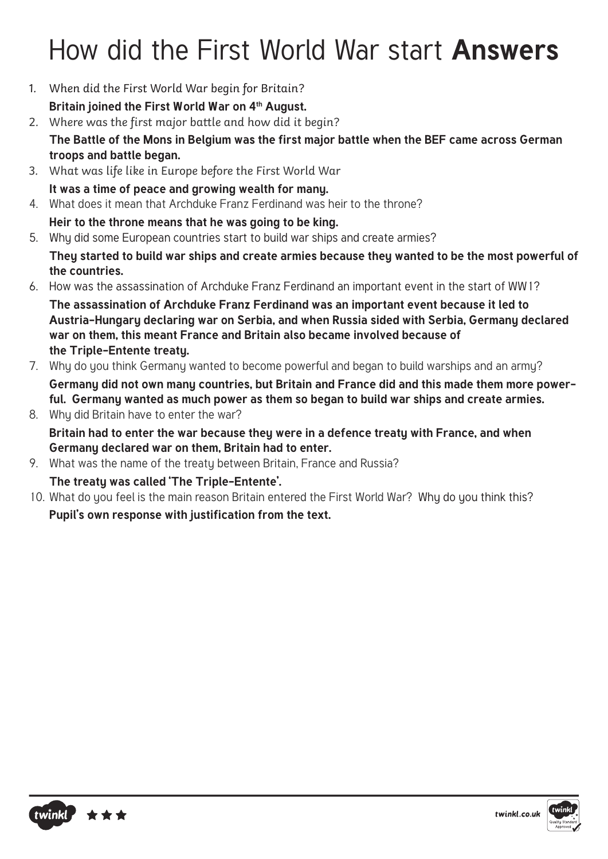# How did the First World War start **Answers**

- 1. When did the First World War begin for Britain?
	- Britain joined the First World War on 4<sup>th</sup> August.
- 2. Where was the first major battle and how did it begin?
	- **The Battle of the Mons in Belgium was the first major battle when the BEF came across German troops and battle began.**
- 3. What was life like in Europe before the First World War **It was a time of peace and growing wealth for many.**
- 4. What does it mean that Archduke Franz Ferdinand was heir to the throne?
	- **Heir to the throne means that he was going to be king.**
- 5. Why did some European countries start to build war ships and create armies?

**They started to build war ships and create armies because they wanted to be the most powerful of the countries.**

6. How was the assassination of Archduke Franz Ferdinand an important event in the start of WW1?

**The assassination of Archduke Franz Ferdinand was an important event because it led to Austria-Hungary declaring war on Serbia, and when Russia sided with Serbia, Germany declared war on them, this meant France and Britain also became involved because of the Triple-Entente treaty.**

- 7. Why do you think Germany wanted to become powerful and began to build warships and an army? **Germany did not own many countries, but Britain and France did and this made them more powerful. Germany wanted as much power as them so began to build war ships and create armies.**
- 8. Why did Britain have to enter the war? **Britain had to enter the war because they were in a defence treaty with France, and when Germany declared war on them, Britain had to enter.**
- 9. What was the name of the treaty between Britain, France and Russia?

### **The treaty was called 'The Triple-Entente'.**

10. What do you feel is the main reason Britain entered the First World War? Why do you think this?

**Pupil's own response with justification from the text.**

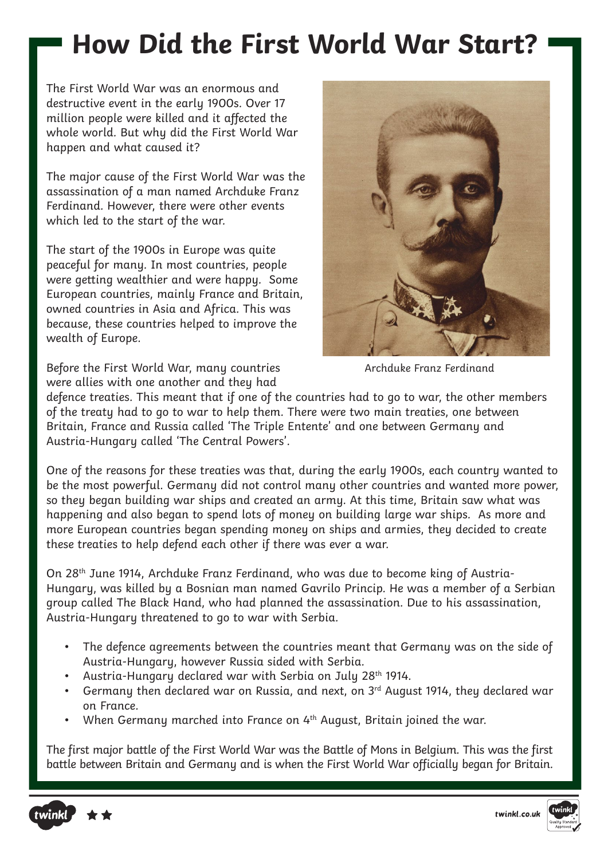### **How Did the First World War Start?**

The First World War was an enormous and destructive event in the early 1900s. Over 17 million people were killed and it affected the whole world. But why did the First World War happen and what caused it?

The major cause of the First World War was the assassination of a man named Archduke Franz Ferdinand. However, there were other events which led to the start of the war.

The start of the 1900s in Europe was quite peaceful for many. In most countries, people were getting wealthier and were happy. Some European countries, mainly France and Britain, owned countries in Asia and Africa. This was because, these countries helped to improve the wealth of Europe.

Before the First World War, many countries were allies with one another and they had



Archduke Franz Ferdinand

defence treaties. This meant that if one of the countries had to go to war, the other members of the treaty had to go to war to help them. There were two main treaties, one between Britain, France and Russia called 'The Triple Entente' and one between Germany and Austria-Hungary called 'The Central Powers'.

One of the reasons for these treaties was that, during the early 1900s, each country wanted to be the most powerful. Germany did not control many other countries and wanted more power, so they began building war ships and created an army. At this time, Britain saw what was happening and also began to spend lots of money on building large war ships. As more and more European countries began spending money on ships and armies, they decided to create these treaties to help defend each other if there was ever a war.

On 28th June 1914, Archduke Franz Ferdinand, who was due to become king of Austria-Hungary, was killed by a Bosnian man named Gavrilo Princip. He was a member of a Serbian group called The Black Hand, who had planned the assassination. Due to his assassination, Austria-Hungary threatened to go to war with Serbia.

- The defence agreements between the countries meant that Germany was on the side of Austria-Hungary, however Russia sided with Serbia.
- Austria-Hungary declared war with Serbia on July 28<sup>th</sup> 1914.
- Germany then declared war on Russia, and next, on 3rd August 1914, they declared war on France.
- When Germany marched into France on 4<sup>th</sup> August, Britain joined the war.

The first major battle of the First World War was the Battle of Mons in Belgium. This was the first battle between Britain and Germany and is when the First World War officially began for Britain.



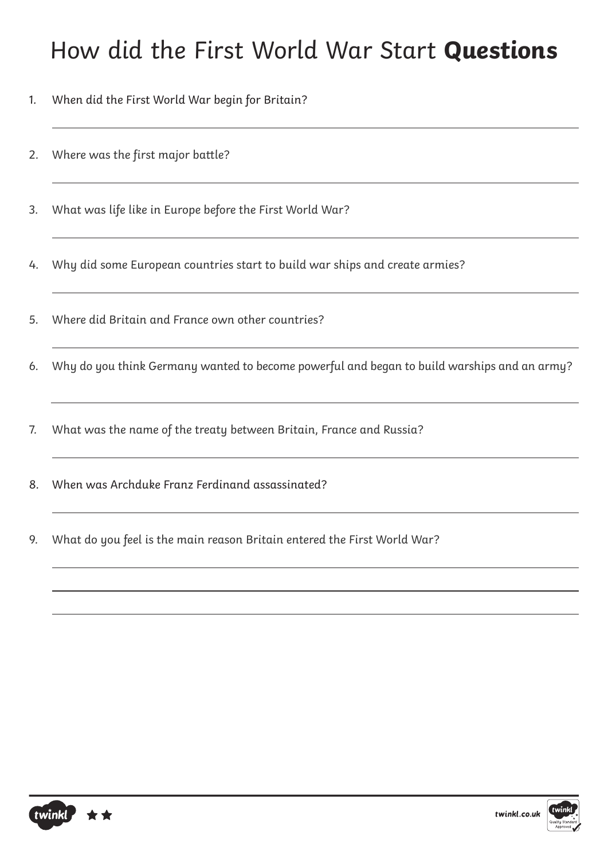### How did the First World War Start **Questions**

- 1. When did the First World War begin for Britain?
- 2. Where was the first major battle?
- 3. What was life like in Europe before the First World War?
- 4. Why did some European countries start to build war ships and create armies?
- 5. Where did Britain and France own other countries?
- 6. Why do you think Germany wanted to become powerful and began to build warships and an army?
- 7. What was the name of the treaty between Britain, France and Russia?
- 8. When was Archduke Franz Ferdinand assassinated?
- 9. What do you feel is the main reason Britain entered the First World War?



 $\overline{a}$ 

 $\overline{a}$ 

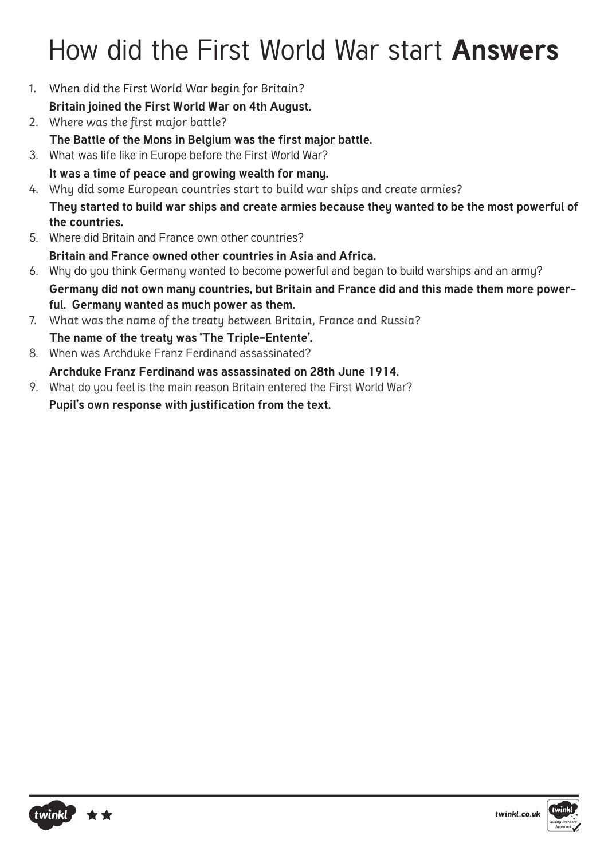# How did the First World War start **Answers**

- 1. When did the First World War begin for Britain?
	- **Britain joined the First World War on 4th August.**
- 2. Where was the first major battle?
- **The Battle of the Mons in Belgium was the first major battle.**
- 3. What was life like in Europe before the First World War?
	- **It was a time of peace and growing wealth for many.**
- 4. Why did some European countries start to build war ships and create armies?

**They started to build war ships and create armies because they wanted to be the most powerful of the countries.**

5. Where did Britain and France own other countries?

**Britain and France owned other countries in Asia and Africa.**

- 6. Why do you think Germany wanted to become powerful and began to build warships and an army? **Germany did not own many countries, but Britain and France did and this made them more powerful. Germany wanted as much power as them.**
- 7. What was the name of the treaty between Britain, France and Russia?
- **The name of the treaty was 'The Triple-Entente'.**
- 8. When was Archduke Franz Ferdinand assassinated? **Archduke Franz Ferdinand was assassinated on 28th June 1914.**
- 9. What do you feel is the main reason Britain entered the First World War?

**Pupil's own response with justification from the text.**



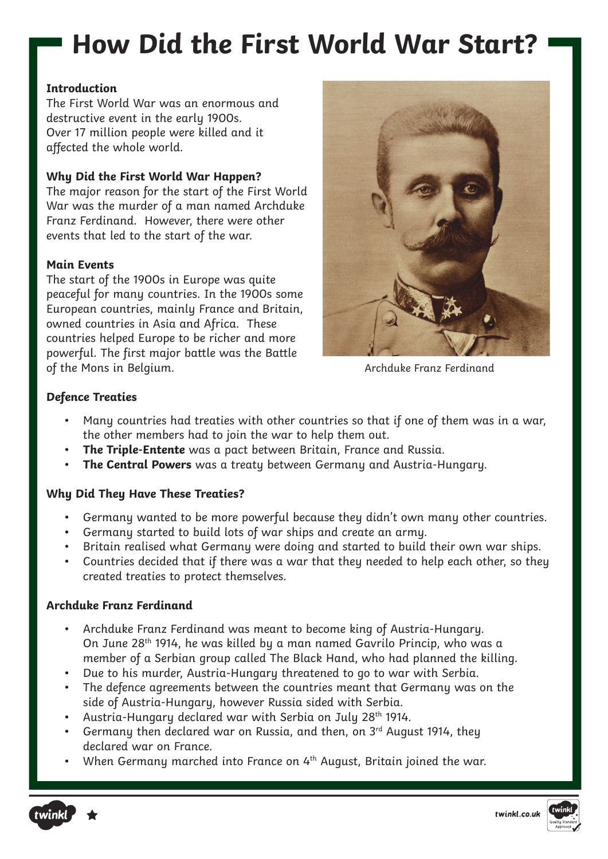## **How Did the First World War Start?**

#### **Introduction**

The First World War was an enormous and destructive event in the early 1900s. Over 17 million people were killed and it affected the whole world.

#### **Why Did the First World War Happen?**

The major reason for the start of the First World War was the murder of a man named Archduke Franz Ferdinand. However, there were other events that led to the start of the war.

#### **Main Events**

The start of the 1900s in Europe was quite peaceful for many countries. In the 1900s some European countries, mainly France and Britain, owned countries in Asia and Africa. These countries helped Europe to be richer and more powerful. The first major battle was the Battle of the Mons in Belgium.



Archduke Franz Ferdinand

#### **Defence Treaties**

- Many countries had treaties with other countries so that if one of them was in a war, the other members had to join the war to help them out.
- **The Triple-Entente** was a pact between Britain, France and Russia.
- **The Central Powers** was a treaty between Germany and Austria-Hungary.

#### **Why Did They Have These Treaties?**

- Germany wanted to be more powerful because they didn't own many other countries.
- Germany started to build lots of war ships and create an army.
- Britain realised what Germany were doing and started to build their own war ships.
- Countries decided that if there was a war that they needed to help each other, so they created treaties to protect themselves.

#### **Archduke Franz Ferdinand**

- Archduke Franz Ferdinand was meant to become king of Austria-Hungary. On June 28th 1914, he was killed by a man named Gavrilo Princip, who was a member of a Serbian group called The Black Hand, who had planned the killing.
- Due to his murder, Austria-Hungary threatened to go to war with Serbia.
- The defence agreements between the countries meant that Germany was on the side of Austria-Hungary, however Russia sided with Serbia.
- Austria-Hungary declared war with Serbia on July 28<sup>th</sup> 1914.
- Germany then declared war on Russia, and then, on 3<sup>rd</sup> August 1914, they declared war on France.
- When Germany marched into France on 4<sup>th</sup> August, Britain joined the war.



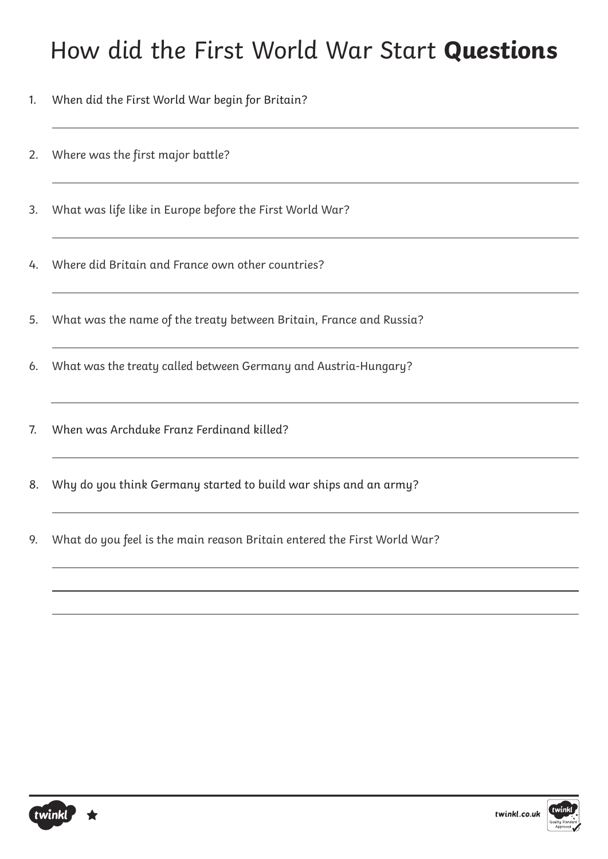### How did the First World War Start **Questions**

- 1. When did the First World War begin for Britain?
- 2. Where was the first major battle?
- 3. What was life like in Europe before the First World War?
- 4. Where did Britain and France own other countries?
- 5. What was the name of the treaty between Britain, France and Russia?
- 6. What was the treaty called between Germany and Austria-Hungary?
- 7. When was Archduke Franz Ferdinand killed?
- 8. Why do you think Germany started to build war ships and an army?
- 9. What do you feel is the main reason Britain entered the First World War?



 $\overline{a}$ 

 $\overline{a}$